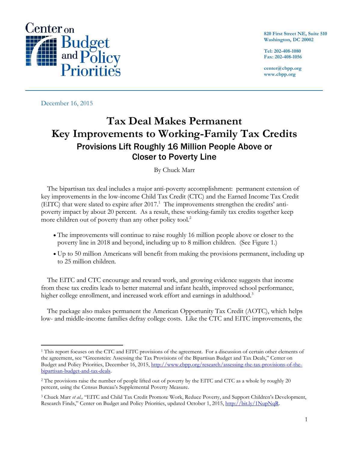

**820 First Street NE, Suite 510 Washington, DC 20002**

**Tel: 202-408-1080 Fax: 202-408-1056**

**center@cbpp.org www.cbpp.org**

December 16, 2015

# **Tax Deal Makes Permanent Key Improvements to Working-Family Tax Credits** Provisions Lift Roughly 16 Million People Above or Closer to Poverty Line

By Chuck Marr

The bipartisan tax deal includes a major anti-poverty accomplishment: permanent extension of key improvements in the low-income Child Tax Credit (CTC) and the Earned Income Tax Credit (EITC) that were slated to expire after 2017.<sup>1</sup> The improvements strengthen the credits' antipoverty impact by about 20 percent*.* As a result, these working-family tax credits together keep more children out of poverty than any other policy tool*.* 2

- The improvements will continue to raise roughly 16 million people above or closer to the poverty line in 2018 and beyond, including up to 8 million children. (See Figure 1.)
- Up to 50 million Americans will benefit from making the provisions permanent, including up to 25 million children.

The EITC and CTC encourage and reward work, and growing evidence suggests that income from these tax credits leads to better maternal and infant health, improved school performance, higher college enrollment, and increased work effort and earnings in adulthood.<sup>3</sup>

The package also makes permanent the American Opportunity Tax Credit (AOTC), which helps low- and middle-income families defray college costs. Like the CTC and EITC improvements, the

 $\overline{a}$ <sup>1</sup> This report focuses on the CTC and EITC provisions of the agreement. For a discussion of certain other elements of the agreement, see "Greenstein: Assessing the Tax Provisions of the Bipartisan Budget and Tax Deals," Center on Budget and Policy Priorities, December 16, 2015, [http://www.cbpp.org/research/assessing-the-tax-provisions-of-the](http://www.cbpp.org/research/assessing-the-tax-provisions-of-the-bipartisan-budget-and-tax-deals)[bipartisan-budget-and-tax-deals.](http://www.cbpp.org/research/assessing-the-tax-provisions-of-the-bipartisan-budget-and-tax-deals)

<sup>&</sup>lt;sup>2</sup> The provisions raise the number of people lifted out of poverty by the EITC and CTC as a whole by roughly 20 percent, using the Census Bureau's Supplemental Poverty Measure.

<sup>&</sup>lt;sup>3</sup> Chuck Marr et al., "EITC and Child Tax Credit Promote Work, Reduce Poverty, and Support Children's Development, Research Finds," Center on Budget and Policy Priorities, updated October 1, 2015[, http://bit.ly/1NupNqR.](http://bit.ly/1NupNqR)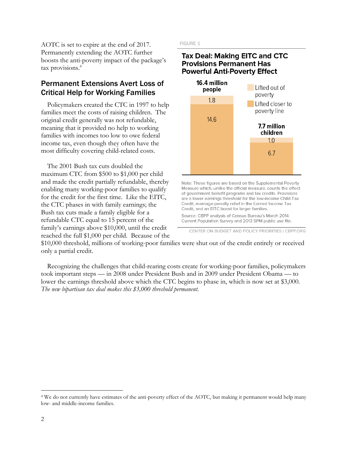AOTC is set to expire at the end of 2017. Permanently extending the AOTC further boosts the anti-poverty impact of the package's tax provisions.<sup>4</sup>

## Permanent Extensions Avert Loss of Critical Help for Working Families

Policymakers created the CTC in 1997 to help families meet the costs of raising children. The original credit generally was not refundable, meaning that it provided no help to working families with incomes too low to owe federal income tax, even though they often have the most difficulty covering child-related costs.

The 2001 Bush tax cuts doubled the maximum CTC from \$500 to \$1,000 per child and made the credit partially refundable, thereby enabling many working-poor families to qualify for the credit for the first time. Like the EITC, the CTC phases in with family earnings; the Bush tax cuts made a family eligible for a refundable CTC equal to 15 percent of the family's earnings above \$10,000, until the credit reached the full \$1,000 per child. Because of the **FIGURE 1** 

#### **Tax Deal: Making EITC and CTC Provisions Permanent Has Powerful Anti-Poverty Effect**



Note: These figures are based on the Supplemental Poverty Measure which, unlike the official measure, counts the effect of government benefit programs and tax credits. Provisions are a lower earnings threshold for the low-income Child Tax Credit, marriage-penalty relief in the Earned Income Tax Credit, and an EITC boost for larger families.

Source: CBPP analysis of Census Bureau's March 2014 Current Population Survey and 2013 SPM public use file.

CENTER ON BUDGET AND POLICY PRIORITIES | CBPP.ORG

\$10,000 threshold, millions of working-poor families were shut out of the credit entirely or received only a partial credit.

Recognizing the challenges that child-rearing costs create for working-poor families, policymakers took important steps — in 2008 under President Bush and in 2009 under President Obama — to lower the earnings threshold above which the CTC begins to phase in, which is now set at \$3,000. *The new bipartisan tax deal makes this \$3,000 threshold permanent.*

 $\overline{a}$ 

<sup>4</sup> We do not currently have estimates of the anti-poverty effect of the AOTC, but making it permanent would help many low- and middle-income families.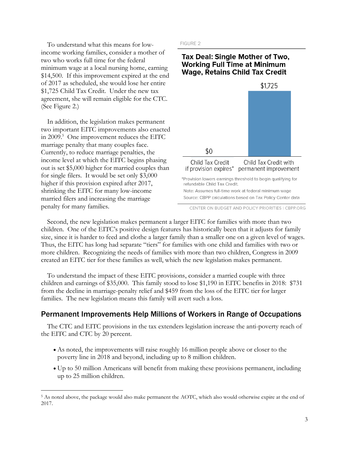To understand what this means for lowincome working families, consider a mother of two who works full time for the federal minimum wage at a local nursing home, earning \$14,500. If this improvement expired at the end of 2017 as scheduled, she would lose her entire \$1,725 Child Tax Credit. Under the new tax agreement, she will remain eligible for the CTC. (See Figure 2.)

In addition, the legislation makes permanent two important EITC improvements also enacted in 2009.<sup>5</sup> One improvement reduces the EITC marriage penalty that many couples face. Currently, to reduce marriage penalties, the income level at which the EITC begins phasing out is set \$5,000 higher for married couples than for single filers. It would be set only \$3,000 higher if this provision expired after 2017, shrinking the EITC for many low-income married filers and increasing the marriage penalty for many families.

 $\overline{a}$ 

FIGURE 2

#### **Tax Deal: Single Mother of Two, Working Full Time at Minimum Wage, Retains Child Tax Credit**



CENTER ON BUDGET AND POLICY PRIORITIES | CBPP.ORG

Second, the new legislation makes permanent a larger EITC for families with more than two children. One of the EITC's positive design features has historically been that it adjusts for family size, since it is harder to feed and clothe a larger family than a smaller one on a given level of wages. Thus, the EITC has long had separate "tiers" for families with one child and families with two or more children. Recognizing the needs of families with more than two children, Congress in 2009 created an EITC tier for these families as well, which the new legislation makes permanent.

To understand the impact of these EITC provisions, consider a married couple with three children and earnings of \$35,000. This family stood to lose \$1,190 in EITC benefits in 2018: \$731 from the decline in marriage-penalty relief and \$459 from the loss of the EITC tier for larger families. The new legislation means this family will avert such a loss.

## Permanent Improvements Help Millions of Workers in Range of Occupations

The CTC and EITC provisions in the tax extenders legislation increase the anti-poverty reach of the EITC and CTC by 20 percent.

- As noted, the improvements will raise roughly 16 million people above or closer to the poverty line in 2018 and beyond, including up to 8 million children.
- Up to 50 million Americans will benefit from making these provisions permanent, including up to 25 million children.

<sup>5</sup> As noted above, the package would also make permanent the AOTC, which also would otherwise expire at the end of 2017.